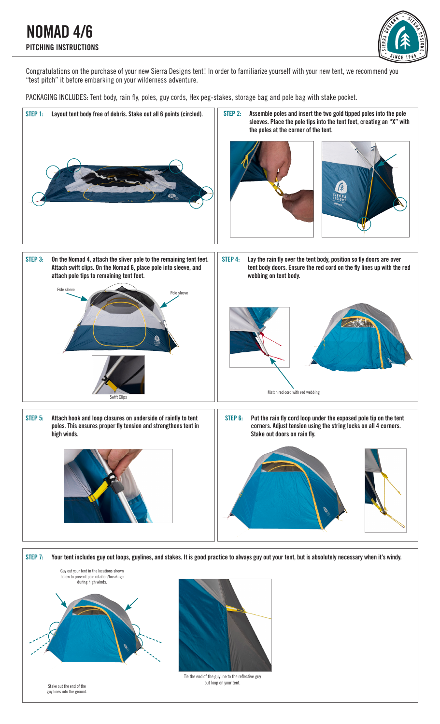NOMAD 4/6 PITCHING INSTRUCTIONS



Congratulations on the purchase of your new Sierra Designs tent! In order to familiarize yourself with your new tent, we recommend you "test pitch" it before embarking on your wilderness adventure.

PACKAGING INCLUDES: Tent body, rain fly, poles, guy cords, Hex peg-stakes, storage bag and pole bag with stake pocket.